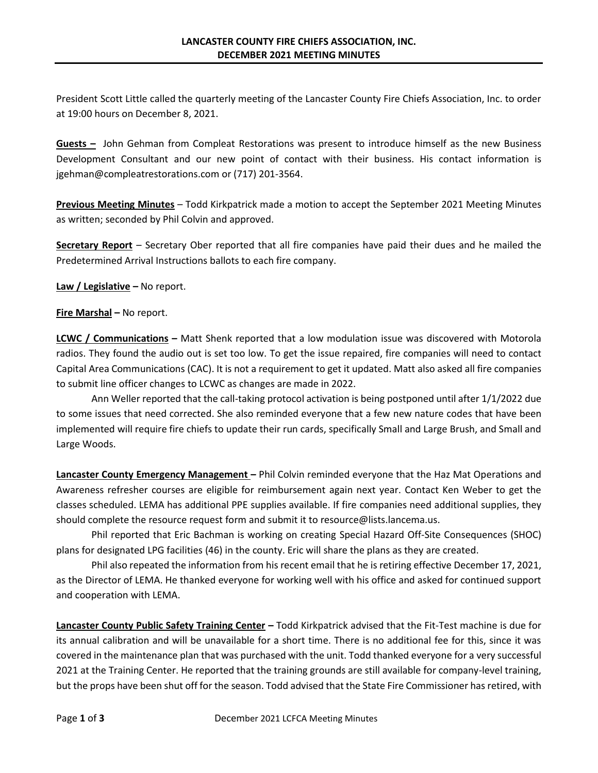President Scott Little called the quarterly meeting of the Lancaster County Fire Chiefs Association, Inc. to order at 19:00 hours on December 8, 2021.

**Guests –** John Gehman from Compleat Restorations was present to introduce himself as the new Business Development Consultant and our new point of contact with their business. His contact information is [jgehman@compleatrestorations.com](mailto:jgehman@compleatrestorations.com) or (717) 201-3564.

**Previous Meeting Minutes** – Todd Kirkpatrick made a motion to accept the September 2021 Meeting Minutes as written; seconded by Phil Colvin and approved.

**Secretary Report** – Secretary Ober reported that all fire companies have paid their dues and he mailed the Predetermined Arrival Instructions ballots to each fire company.

**Law / Legislative –** No report.

**Fire Marshal –** No report.

**LCWC / Communications –** Matt Shenk reported that a low modulation issue was discovered with Motorola radios. They found the audio out is set too low. To get the issue repaired, fire companies will need to contact Capital Area Communications (CAC). It is not a requirement to get it updated. Matt also asked all fire companies to submit line officer changes to LCWC as changes are made in 2022.

Ann Weller reported that the call-taking protocol activation is being postponed until after 1/1/2022 due to some issues that need corrected. She also reminded everyone that a few new nature codes that have been implemented will require fire chiefs to update their run cards, specifically Small and Large Brush, and Small and Large Woods.

**Lancaster County Emergency Management –** Phil Colvin reminded everyone that the Haz Mat Operations and Awareness refresher courses are eligible for reimbursement again next year. Contact Ken Weber to get the classes scheduled. LEMA has additional PPE supplies available. If fire companies need additional supplies, they should complete the resource request form and submit it to [resource@lists.lancema.us.](mailto:resource@lists.lancema.us)

Phil reported that Eric Bachman is working on creating Special Hazard Off-Site Consequences (SHOC) plans for designated LPG facilities (46) in the county. Eric will share the plans as they are created.

Phil also repeated the information from his recent email that he is retiring effective December 17, 2021, as the Director of LEMA. He thanked everyone for working well with his office and asked for continued support and cooperation with LEMA.

**Lancaster County Public Safety Training Center –** Todd Kirkpatrick advised that the Fit-Test machine is due for its annual calibration and will be unavailable for a short time. There is no additional fee for this, since it was covered in the maintenance plan that was purchased with the unit. Todd thanked everyone for a very successful 2021 at the Training Center. He reported that the training grounds are still available for company-level training, but the props have been shut off for the season. Todd advised that the State Fire Commissioner has retired, with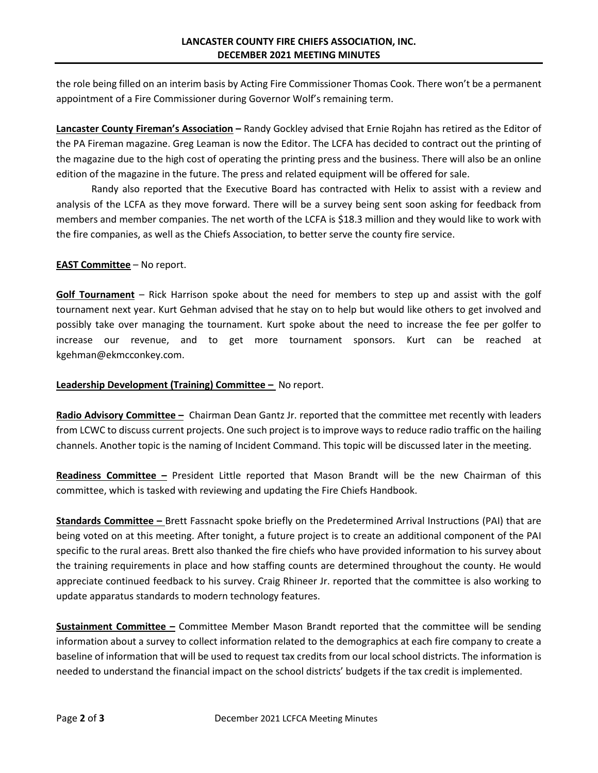the role being filled on an interim basis by Acting Fire Commissioner Thomas Cook. There won't be a permanent appointment of a Fire Commissioner during Governor Wolf's remaining term.

**Lancaster County Fireman's Association –** Randy Gockley advised that Ernie Rojahn has retired as the Editor of the PA Fireman magazine. Greg Leaman is now the Editor. The LCFA has decided to contract out the printing of the magazine due to the high cost of operating the printing press and the business. There will also be an online edition of the magazine in the future. The press and related equipment will be offered for sale.

Randy also reported that the Executive Board has contracted with Helix to assist with a review and analysis of the LCFA as they move forward. There will be a survey being sent soon asking for feedback from members and member companies. The net worth of the LCFA is \$18.3 million and they would like to work with the fire companies, as well as the Chiefs Association, to better serve the county fire service.

**EAST Committee** – No report.

**Golf Tournament** – Rick Harrison spoke about the need for members to step up and assist with the golf tournament next year. Kurt Gehman advised that he stay on to help but would like others to get involved and possibly take over managing the tournament. Kurt spoke about the need to increase the fee per golfer to increase our revenue, and to get more tournament sponsors. Kurt can be reached at kgehman@ekmcconkey.com.

## **Leadership Development (Training) Committee - No report.**

**Radio Advisory Committee –** Chairman Dean Gantz Jr. reported that the committee met recently with leaders from LCWC to discuss current projects. One such project is to improve ways to reduce radio traffic on the hailing channels. Another topic is the naming of Incident Command. This topic will be discussed later in the meeting.

**Readiness Committee –** President Little reported that Mason Brandt will be the new Chairman of this committee, which is tasked with reviewing and updating the Fire Chiefs Handbook.

**Standards Committee –** Brett Fassnacht spoke briefly on the Predetermined Arrival Instructions (PAI) that are being voted on at this meeting. After tonight, a future project is to create an additional component of the PAI specific to the rural areas. Brett also thanked the fire chiefs who have provided information to his survey about the training requirements in place and how staffing counts are determined throughout the county. He would appreciate continued feedback to his survey. Craig Rhineer Jr. reported that the committee is also working to update apparatus standards to modern technology features.

**Sustainment Committee –** Committee Member Mason Brandt reported that the committee will be sending information about a survey to collect information related to the demographics at each fire company to create a baseline of information that will be used to request tax credits from our local school districts. The information is needed to understand the financial impact on the school districts' budgets if the tax credit is implemented.